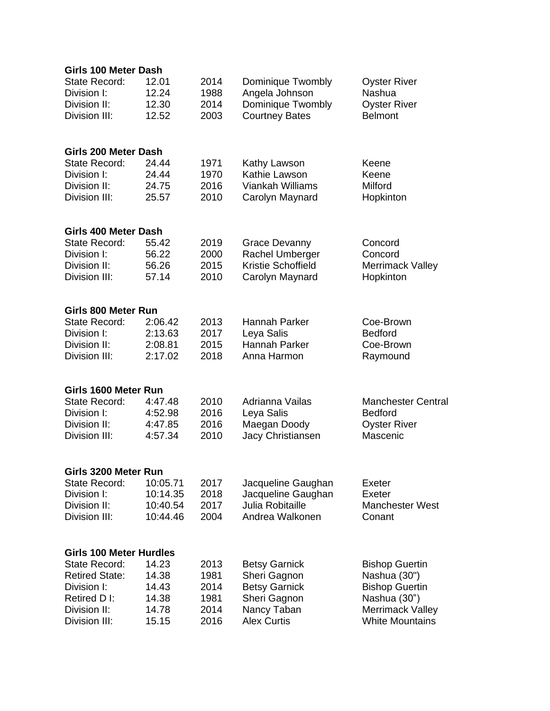| Girls 100 Meter Dash           |                  |                       |                           |
|--------------------------------|------------------|-----------------------|---------------------------|
| State Record:                  | 12.01<br>2014    | Dominique Twombly     | <b>Oyster River</b>       |
| Division I:                    | 1988<br>12.24    | Angela Johnson        | Nashua                    |
| Division II:                   | 12.30<br>2014    | Dominique Twombly     | <b>Oyster River</b>       |
| Division III:                  | 12.52<br>2003    | <b>Courtney Bates</b> | <b>Belmont</b>            |
| Girls 200 Meter Dash           |                  |                       |                           |
| State Record:                  | 24.44<br>1971    | Kathy Lawson          | Keene                     |
| Division I:                    | 24.44<br>1970    | Kathie Lawson         | Keene                     |
| Division II:                   | 2016<br>24.75    | Viankah Williams      | Milford                   |
| Division III:                  | 2010<br>25.57    | Carolyn Maynard       | Hopkinton                 |
| Girls 400 Meter Dash           |                  |                       |                           |
| State Record:                  | 55.42<br>2019    | <b>Grace Devanny</b>  | Concord                   |
| Division I:                    | 2000<br>56.22    | Rachel Umberger       | Concord                   |
| Division II:                   | 2015<br>56.26    | Kristie Schoffield    | Merrimack Valley          |
| Division III:                  | 2010<br>57.14    | Carolyn Maynard       | Hopkinton                 |
| Girls 800 Meter Run            |                  |                       |                           |
| State Record:                  | 2:06.42<br>2013  | Hannah Parker         | Coe-Brown                 |
| Division I:                    | 2:13.63<br>2017  | Leya Salis            | <b>Bedford</b>            |
| Division II:                   | 2015<br>2:08.81  | Hannah Parker         | Coe-Brown                 |
| Division III:                  | 2:17.02<br>2018  | Anna Harmon           | Raymound                  |
| Girls 1600 Meter Run           |                  |                       |                           |
| <b>State Record:</b>           | 2010<br>4:47.48  | Adrianna Vailas       | <b>Manchester Central</b> |
| Division I:                    | 2016<br>4:52.98  | Leya Salis            | <b>Bedford</b>            |
| Division II:                   | 4:47.85<br>2016  | Maegan Doody          | <b>Oyster River</b>       |
| Division III:                  | 4:57.34<br>2010  | Jacy Christiansen     | Mascenic                  |
| Girls 3200 Meter Run           |                  |                       |                           |
| <b>State Record:</b>           | 10:05.71<br>2017 | Jacqueline Gaughan    | Exeter                    |
| Division I:                    | 10:14.35<br>2018 | Jacqueline Gaughan    | Exeter                    |
| Division II:                   | 10:40.54<br>2017 | Julia Robitaille      | <b>Manchester West</b>    |
| Division III:                  | 2004<br>10:44.46 | Andrea Walkonen       | Conant                    |
| <b>Girls 100 Meter Hurdles</b> |                  |                       |                           |
| <b>State Record:</b>           | 14.23<br>2013    | <b>Betsy Garnick</b>  | <b>Bishop Guertin</b>     |
| <b>Retired State:</b>          | 14.38<br>1981    | Sheri Gagnon          | Nashua (30")              |
| Division I:                    | 14.43<br>2014    | <b>Betsy Garnick</b>  | <b>Bishop Guertin</b>     |
| Retired D I:                   | 14.38<br>1981    | Sheri Gagnon          | Nashua (30")              |
| Division II:                   | 14.78<br>2014    | Nancy Taban           | <b>Merrimack Valley</b>   |
| Division III:                  | 15.15<br>2016    | <b>Alex Curtis</b>    | <b>White Mountains</b>    |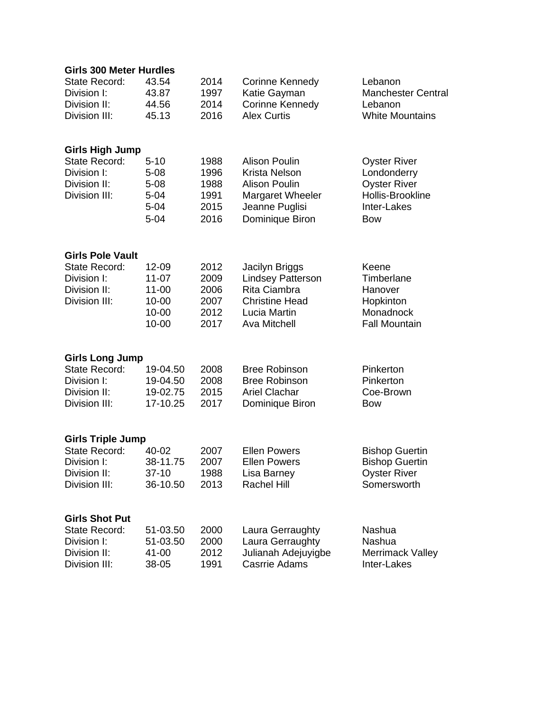| <b>Girls 300 Meter Hurdles</b> |           |      |                          |                           |  |  |  |
|--------------------------------|-----------|------|--------------------------|---------------------------|--|--|--|
| <b>State Record:</b>           | 43.54     | 2014 | Corinne Kennedy          | Lebanon                   |  |  |  |
| Division I:                    | 43.87     | 1997 | Katie Gayman             | <b>Manchester Central</b> |  |  |  |
| Division II:                   | 44.56     | 2014 | Corinne Kennedy          | Lebanon                   |  |  |  |
| Division III:                  | 45.13     | 2016 | <b>Alex Curtis</b>       | <b>White Mountains</b>    |  |  |  |
|                                |           |      |                          |                           |  |  |  |
| <b>Girls High Jump</b>         |           |      |                          |                           |  |  |  |
| <b>State Record:</b>           | $5 - 10$  | 1988 | <b>Alison Poulin</b>     | <b>Oyster River</b>       |  |  |  |
| Division I:                    | $5 - 08$  | 1996 | Krista Nelson            | Londonderry               |  |  |  |
| Division II:                   | $5 - 08$  | 1988 | <b>Alison Poulin</b>     | <b>Oyster River</b>       |  |  |  |
| Division III:                  | $5 - 04$  | 1991 | Margaret Wheeler         | Hollis-Brookline          |  |  |  |
|                                | $5 - 04$  | 2015 | Jeanne Puglisi           | Inter-Lakes               |  |  |  |
|                                | $5 - 04$  | 2016 | Dominique Biron          | <b>Bow</b>                |  |  |  |
|                                |           |      |                          |                           |  |  |  |
| <b>Girls Pole Vault</b>        |           |      |                          |                           |  |  |  |
| <b>State Record:</b>           | 12-09     | 2012 | Jacilyn Briggs           | Keene                     |  |  |  |
| Division I:                    | $11-07$   | 2009 | <b>Lindsey Patterson</b> | Timberlane                |  |  |  |
| Division II:                   | $11 - 00$ | 2006 | Rita Ciambra             | Hanover                   |  |  |  |
| Division III:                  | $10 - 00$ | 2007 | <b>Christine Head</b>    | Hopkinton                 |  |  |  |
|                                | $10 - 00$ | 2012 | Lucia Martin             | Monadnock                 |  |  |  |
|                                | $10 - 00$ | 2017 | <b>Ava Mitchell</b>      | <b>Fall Mountain</b>      |  |  |  |
|                                |           |      |                          |                           |  |  |  |
| <b>Girls Long Jump</b>         |           |      |                          |                           |  |  |  |
| <b>State Record:</b>           | 19-04.50  | 2008 | <b>Bree Robinson</b>     | Pinkerton                 |  |  |  |
| Division I:                    | 19-04.50  | 2008 | <b>Bree Robinson</b>     | Pinkerton                 |  |  |  |
| Division II:                   | 19-02.75  | 2015 | <b>Ariel Clachar</b>     | Coe-Brown                 |  |  |  |
| Division III:                  | 17-10.25  | 2017 | Dominique Biron          | <b>Bow</b>                |  |  |  |
|                                |           |      |                          |                           |  |  |  |
| <b>Girls Triple Jump</b>       |           |      |                          |                           |  |  |  |
| State Record:                  | 40-02     | 2007 | <b>Ellen Powers</b>      | <b>Bishop Guertin</b>     |  |  |  |
| Division I:                    | 38-11.75  | 2007 | <b>Ellen Powers</b>      | <b>Bishop Guertin</b>     |  |  |  |
| Division II:                   | $37 - 10$ | 1988 | Lisa Barney              | <b>Oyster River</b>       |  |  |  |
| Division III:                  | 36-10.50  | 2013 | Rachel Hill              | Somersworth               |  |  |  |
| <b>Girls Shot Put</b>          |           |      |                          |                           |  |  |  |
| <b>State Record:</b>           | 51-03.50  | 2000 | Laura Gerraughty         | Nashua                    |  |  |  |
| Division I:                    | 51-03.50  | 2000 | Laura Gerraughty         | Nashua                    |  |  |  |
| Division II:                   | 41-00     | 2012 | Julianah Adejuyigbe      | <b>Merrimack Valley</b>   |  |  |  |
| Division III:                  | 38-05     | 1991 | <b>Casrrie Adams</b>     | Inter-Lakes               |  |  |  |
|                                |           |      |                          |                           |  |  |  |